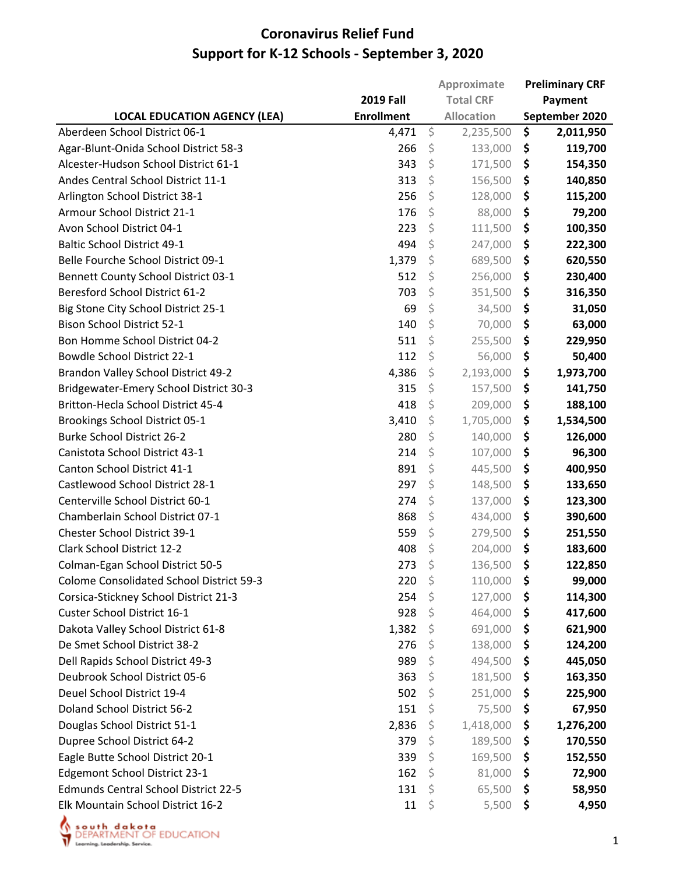|                                                 |                   | Approximate       |     | <b>Preliminary CRF</b> |  |
|-------------------------------------------------|-------------------|-------------------|-----|------------------------|--|
|                                                 | <b>2019 Fall</b>  | <b>Total CRF</b>  |     | Payment                |  |
| <b>LOCAL EDUCATION AGENCY (LEA)</b>             | <b>Enrollment</b> | <b>Allocation</b> |     | September 2020         |  |
| Aberdeen School District 06-1                   | 4,471             | \$<br>2,235,500   | \$  | 2,011,950              |  |
| Agar-Blunt-Onida School District 58-3           | 266               | \$<br>133,000     | \$  | 119,700                |  |
| Alcester-Hudson School District 61-1            | 343               | \$<br>171,500     | \$  | 154,350                |  |
| Andes Central School District 11-1              | 313               | \$<br>156,500     | \$  | 140,850                |  |
| Arlington School District 38-1                  | 256               | \$<br>128,000     | \$  | 115,200                |  |
| Armour School District 21-1                     | 176               | \$<br>88,000      | \$  | 79,200                 |  |
| Avon School District 04-1                       | 223               | \$<br>111,500     | \$  | 100,350                |  |
| <b>Baltic School District 49-1</b>              | 494               | \$<br>247,000     | \$  | 222,300                |  |
| Belle Fourche School District 09-1              | 1,379             | \$<br>689,500     | \$  | 620,550                |  |
| <b>Bennett County School District 03-1</b>      | 512               | \$<br>256,000     | \$  | 230,400                |  |
| <b>Beresford School District 61-2</b>           | 703               | \$<br>351,500     | \$  | 316,350                |  |
| Big Stone City School District 25-1             | 69                | \$<br>34,500      | \$  | 31,050                 |  |
| <b>Bison School District 52-1</b>               | 140               | \$<br>70,000      | \$  | 63,000                 |  |
| Bon Homme School District 04-2                  | 511               | \$<br>255,500     | \$  | 229,950                |  |
| <b>Bowdle School District 22-1</b>              | 112               | \$<br>56,000      | \$  | 50,400                 |  |
| Brandon Valley School District 49-2             | 4,386             | \$<br>2,193,000   | \$  | 1,973,700              |  |
| Bridgewater-Emery School District 30-3          | 315               | \$<br>157,500     | \$  | 141,750                |  |
| Britton-Hecla School District 45-4              | 418               | \$<br>209,000     | \$  | 188,100                |  |
| Brookings School District 05-1                  | 3,410             | \$<br>1,705,000   | \$  | 1,534,500              |  |
| <b>Burke School District 26-2</b>               | 280               | \$<br>140,000     | \$  | 126,000                |  |
| Canistota School District 43-1                  | 214               | \$<br>107,000     | \$  | 96,300                 |  |
| Canton School District 41-1                     | 891               | \$<br>445,500     | \$  | 400,950                |  |
| Castlewood School District 28-1                 | 297               | \$<br>148,500     | \$  | 133,650                |  |
| Centerville School District 60-1                | 274               | \$<br>137,000     | \$  | 123,300                |  |
| Chamberlain School District 07-1                | 868               | \$<br>434,000     | \$  | 390,600                |  |
| Chester School District 39-1                    | 559               | \$<br>279,500     | \$  | 251,550                |  |
| Clark School District 12-2                      | 408               | \$<br>204,000     | \$  | 183,600                |  |
| Colman-Egan School District 50-5                | 273               | \$<br>136,500     | \$  | 122,850                |  |
| <b>Colome Consolidated School District 59-3</b> | 220               | \$<br>110,000     | \$  | 99,000                 |  |
| Corsica-Stickney School District 21-3           | 254               | \$<br>127,000     | \$  | 114,300                |  |
| Custer School District 16-1                     | 928               | \$<br>464,000     | \$  | 417,600                |  |
| Dakota Valley School District 61-8              | 1,382             | \$<br>691,000     | \$  | 621,900                |  |
| De Smet School District 38-2                    | 276               | \$<br>138,000     | \$  | 124,200                |  |
| Dell Rapids School District 49-3                | 989               | \$<br>494,500     | \$  | 445,050                |  |
| Deubrook School District 05-6                   | 363               | \$<br>181,500     | \$. | 163,350                |  |
| Deuel School District 19-4                      | 502               | \$<br>251,000     | \$  | 225,900                |  |
| Doland School District 56-2                     | 151               | \$<br>75,500      | \$  | 67,950                 |  |
| Douglas School District 51-1                    | 2,836             | \$<br>1,418,000   | \$  | 1,276,200              |  |
| Dupree School District 64-2                     | 379               | \$<br>189,500     | \$  | 170,550                |  |
| Eagle Butte School District 20-1                | 339               | \$<br>169,500     | \$  | 152,550                |  |
| Edgemont School District 23-1                   | 162               | \$<br>81,000      | \$  | 72,900                 |  |
| <b>Edmunds Central School District 22-5</b>     | 131               | \$<br>65,500      | \$  | 58,950                 |  |
| Elk Mountain School District 16-2               | 11                | \$<br>5,500       | \$  | 4,950                  |  |

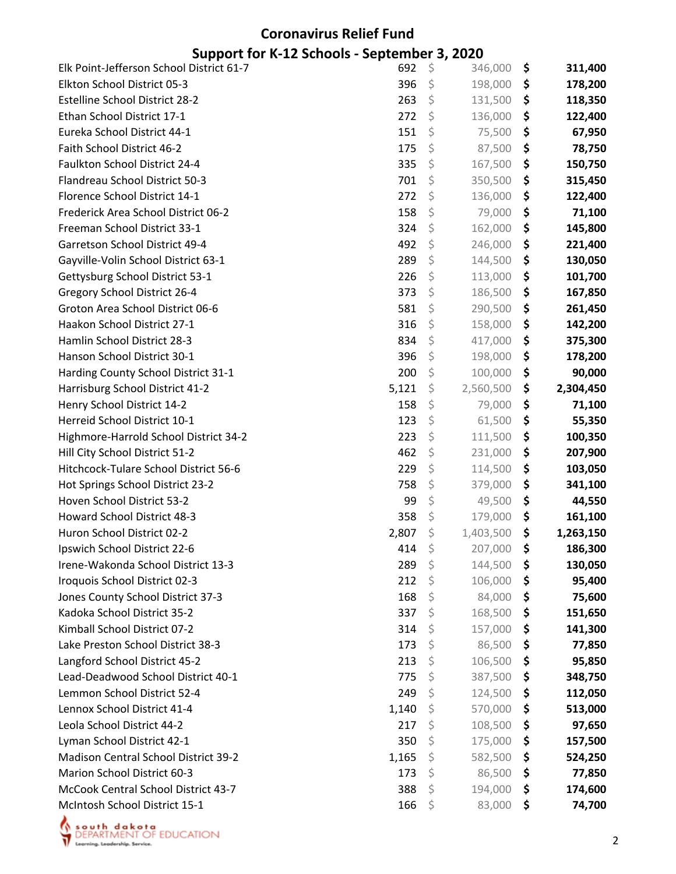# **Coronavirus Relief Fund**

#### **Support for K‐12 Schools ‐ September 3, 2020**

| Elk Point-Jefferson School District 61-7 | 692   | \$<br>346,000   | \$<br>311,400   |
|------------------------------------------|-------|-----------------|-----------------|
| Elkton School District 05-3              | 396   | \$<br>198,000   | \$<br>178,200   |
| <b>Estelline School District 28-2</b>    | 263   | \$<br>131,500   | \$<br>118,350   |
| Ethan School District 17-1               | 272   | \$<br>136,000   | \$<br>122,400   |
| Eureka School District 44-1              | 151   | \$<br>75,500    | \$<br>67,950    |
| Faith School District 46-2               | 175   | \$<br>87,500    | \$<br>78,750    |
| Faulkton School District 24-4            | 335   | \$<br>167,500   | \$<br>150,750   |
| Flandreau School District 50-3           | 701   | \$<br>350,500   | \$<br>315,450   |
| Florence School District 14-1            | 272   | \$<br>136,000   | \$<br>122,400   |
| Frederick Area School District 06-2      | 158   | \$<br>79,000    | \$<br>71,100    |
| Freeman School District 33-1             | 324   | \$<br>162,000   | \$<br>145,800   |
| Garretson School District 49-4           | 492   | \$<br>246,000   | \$<br>221,400   |
| Gayville-Volin School District 63-1      | 289   | \$<br>144,500   | \$<br>130,050   |
| Gettysburg School District 53-1          | 226   | \$<br>113,000   | \$<br>101,700   |
| Gregory School District 26-4             | 373   | \$<br>186,500   | \$<br>167,850   |
| Groton Area School District 06-6         | 581   | \$<br>290,500   | \$<br>261,450   |
| Haakon School District 27-1              | 316   | \$<br>158,000   | \$<br>142,200   |
| Hamlin School District 28-3              | 834   | \$<br>417,000   | \$<br>375,300   |
| Hanson School District 30-1              | 396   | \$<br>198,000   | \$<br>178,200   |
| Harding County School District 31-1      | 200   | \$<br>100,000   | \$<br>90,000    |
| Harrisburg School District 41-2          | 5,121 | \$<br>2,560,500 | \$<br>2,304,450 |
| Henry School District 14-2               | 158   | \$<br>79,000    | \$<br>71,100    |
| Herreid School District 10-1             | 123   | \$<br>61,500    | \$<br>55,350    |
| Highmore-Harrold School District 34-2    | 223   | \$<br>111,500   | \$<br>100,350   |
| Hill City School District 51-2           | 462   | \$<br>231,000   | \$<br>207,900   |
| Hitchcock-Tulare School District 56-6    | 229   | \$<br>114,500   | \$<br>103,050   |
| Hot Springs School District 23-2         | 758   | \$<br>379,000   | \$<br>341,100   |
| Hoven School District 53-2               | 99    | \$<br>49,500    | \$<br>44,550    |
| <b>Howard School District 48-3</b>       | 358   | \$<br>179,000   | \$<br>161,100   |
| Huron School District 02-2               | 2,807 | \$<br>1,403,500 | \$<br>1,263,150 |
| Ipswich School District 22-6             | 414   | \$<br>207,000   | \$<br>186,300   |
| Irene-Wakonda School District 13-3       | 289   | \$<br>144,500   | \$<br>130,050   |
| Iroquois School District 02-3            | 212   | \$<br>106,000   | \$<br>95,400    |
| Jones County School District 37-3        | 168   | \$<br>84,000    | \$<br>75,600    |
| Kadoka School District 35-2              | 337   | \$<br>168,500   | \$<br>151,650   |
| Kimball School District 07-2             | 314   | \$<br>157,000   | \$<br>141,300   |
| Lake Preston School District 38-3        | 173   | \$<br>86,500    | \$<br>77,850    |
| Langford School District 45-2            | 213   | \$<br>106,500   | \$<br>95,850    |
| Lead-Deadwood School District 40-1       | 775   | \$<br>387,500   | \$<br>348,750   |
| Lemmon School District 52-4              | 249   | \$<br>124,500   | \$<br>112,050   |
| Lennox School District 41-4              | 1,140 | \$<br>570,000   | \$<br>513,000   |
| Leola School District 44-2               | 217   | \$<br>108,500   | \$<br>97,650    |
| Lyman School District 42-1               | 350   | \$<br>175,000   | \$<br>157,500   |
| Madison Central School District 39-2     | 1,165 | \$<br>582,500   | \$<br>524,250   |
| <b>Marion School District 60-3</b>       | 173   | \$<br>86,500    | \$<br>77,850    |
| McCook Central School District 43-7      | 388   | \$<br>194,000   | \$<br>174,600   |
| McIntosh School District 15-1            | 166   | \$<br>83,000    | \$<br>74,700    |

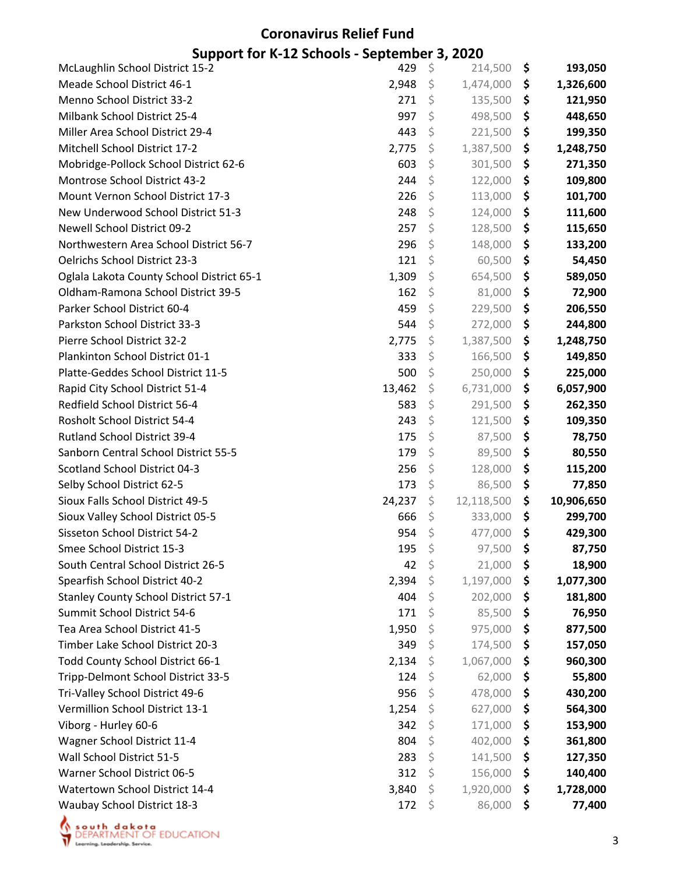| <b>McLaughlin School District 15-2</b>                                | 429        | \$      | 214,500            | \$       | 193,050            |
|-----------------------------------------------------------------------|------------|---------|--------------------|----------|--------------------|
| Meade School District 46-1                                            | 2,948      | \$      | 1,474,000          | \$       | 1,326,600          |
| Menno School District 33-2                                            | 271        | \$      | 135,500            | \$       | 121,950            |
| Milbank School District 25-4                                          | 997        | \$      | 498,500            | \$       | 448,650            |
| Miller Area School District 29-4                                      | 443        | \$      | 221,500            | \$       | 199,350            |
| Mitchell School District 17-2                                         | 2,775      | \$      | 1,387,500          | \$       | 1,248,750          |
| Mobridge-Pollock School District 62-6                                 | 603        | \$      | 301,500            | \$       | 271,350            |
| Montrose School District 43-2                                         | 244        | \$      | 122,000            | \$       | 109,800            |
| Mount Vernon School District 17-3                                     | 226        | \$      | 113,000            | \$       | 101,700            |
| New Underwood School District 51-3                                    | 248        | \$      | 124,000            | \$       | 111,600            |
| <b>Newell School District 09-2</b>                                    | 257        | \$      | 128,500            | \$       | 115,650            |
| Northwestern Area School District 56-7                                | 296        | \$      | 148,000            | \$       | 133,200            |
| Oelrichs School District 23-3                                         | 121        | \$      | 60,500             | \$       | 54,450             |
| Oglala Lakota County School District 65-1                             | 1,309      | \$      | 654,500            | \$       | 589,050            |
| Oldham-Ramona School District 39-5                                    | 162        | \$      | 81,000             | \$       | 72,900             |
| Parker School District 60-4                                           | 459        | \$      | 229,500            | \$       | 206,550            |
| Parkston School District 33-3                                         | 544        | \$      | 272,000            | \$       | 244,800            |
| Pierre School District 32-2                                           | 2,775      | \$      | 1,387,500          | \$       | 1,248,750          |
| Plankinton School District 01-1                                       | 333        | \$      | 166,500            | \$       | 149,850            |
| Platte-Geddes School District 11-5                                    | 500        | \$      | 250,000            | \$       | 225,000            |
| Rapid City School District 51-4                                       | 13,462     | \$      | 6,731,000          | \$       | 6,057,900          |
| Redfield School District 56-4                                         | 583        | \$      | 291,500            | \$       | 262,350            |
| Rosholt School District 54-4                                          | 243        | \$      | 121,500            | \$       | 109,350            |
| Rutland School District 39-4                                          | 175        | \$      | 87,500             | \$       | 78,750             |
| Sanborn Central School District 55-5                                  | 179        | \$      | 89,500             | \$       | 80,550             |
| Scotland School District 04-3                                         | 256        | \$      | 128,000            | \$       | 115,200            |
| Selby School District 62-5                                            | 173        | \$      | 86,500             | \$       | 77,850             |
| Sioux Falls School District 49-5                                      | 24,237     | \$      | 12,118,500         | \$       | 10,906,650         |
| Sioux Valley School District 05-5                                     | 666        | \$      | 333,000            | \$       | 299,700            |
| Sisseton School District 54-2                                         | 954        | \$      | 477,000            | \$       | 429,300            |
| Smee School District 15-3                                             | 195        | \$      | 97,500             | \$       | 87,750             |
| South Central School District 26-5                                    | 42         | \$      | 21,000             | \$       | 18,900             |
| Spearfish School District 40-2                                        | 2,394      | \$      | 1,197,000          | \$       | 1,077,300          |
| <b>Stanley County School District 57-1</b>                            | 404        | \$      | 202,000            | \$       | 181,800            |
| Summit School District 54-6                                           | 171        | \$      | 85,500             | \$       | 76,950             |
| Tea Area School District 41-5                                         | 1,950      | Ŝ       | 975,000            | \$       | 877,500            |
| Timber Lake School District 20-3                                      | 349        | \$      | 174,500            | \$       | 157,050            |
| Todd County School District 66-1                                      | 2,134      | \$      | 1,067,000          | \$       | 960,300            |
| Tripp-Delmont School District 33-5<br>Tri-Valley School District 49-6 | 124<br>956 | \$      | 62,000<br>478,000  | \$<br>\$ | 55,800             |
| Vermillion School District 13-1                                       | 1,254      | Ş<br>\$ | 627,000            | \$       | 430,200            |
| Viborg - Hurley 60-6                                                  | 342        | \$      |                    |          | 564,300            |
| Wagner School District 11-4                                           | 804        | \$      | 171,000<br>402,000 | \$<br>\$ | 153,900<br>361,800 |
| Wall School District 51-5                                             | 283        | \$      | 141,500            | \$       | 127,350            |
| Warner School District 06-5                                           | 312        | \$      | 156,000            | \$       | 140,400            |
| Watertown School District 14-4                                        | 3,840      | \$      | 1,920,000          | \$       | 1,728,000          |
| Waubay School District 18-3                                           | 172        | \$      | 86,000             | \$       | 77,400             |
|                                                                       |            |         |                    |          |                    |

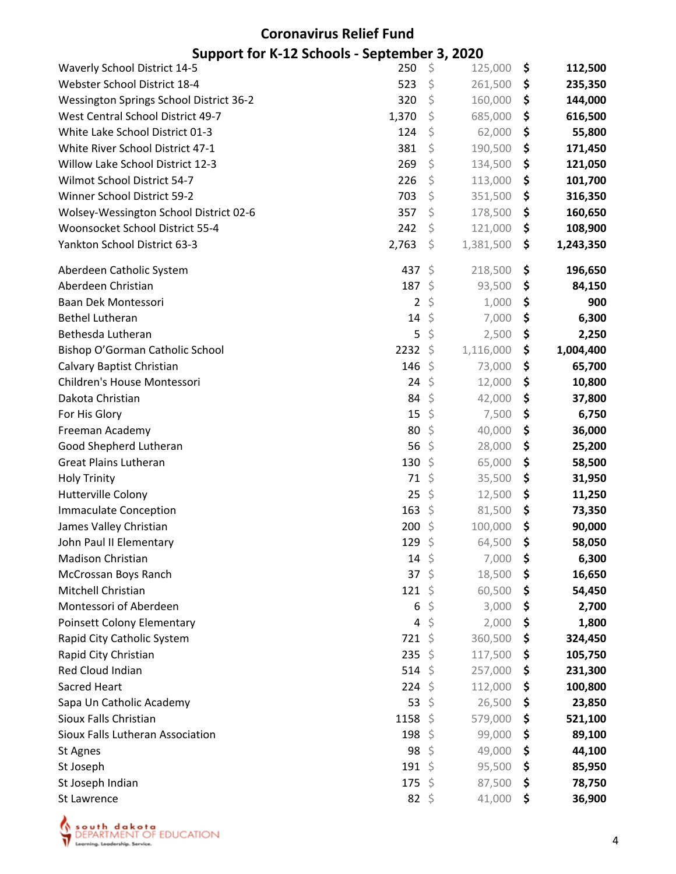| <b>Waverly School District 14-5</b>     | 250            | \$      | 125,000   | \$<br>112,500   |
|-----------------------------------------|----------------|---------|-----------|-----------------|
| Webster School District 18-4            | 523            | \$      | 261,500   | \$<br>235,350   |
| Wessington Springs School District 36-2 | 320            | \$      | 160,000   | \$<br>144,000   |
| West Central School District 49-7       | 1,370          | \$      | 685,000   | \$<br>616,500   |
| White Lake School District 01-3         | 124            | \$      | 62,000    | \$<br>55,800    |
| White River School District 47-1        | 381            | \$      | 190,500   | \$<br>171,450   |
| Willow Lake School District 12-3        | 269            | \$      | 134,500   | \$<br>121,050   |
| Wilmot School District 54-7             | 226            | \$      | 113,000   | \$<br>101,700   |
| Winner School District 59-2             | 703            | \$      | 351,500   | \$<br>316,350   |
| Wolsey-Wessington School District 02-6  | 357            | \$      | 178,500   | \$<br>160,650   |
| Woonsocket School District 55-4         | 242            | \$      | 121,000   | \$<br>108,900   |
| Yankton School District 63-3            | 2,763          | \$      | 1,381,500 | \$<br>1,243,350 |
| Aberdeen Catholic System                | 437 \$         |         | 218,500   | \$<br>196,650   |
| Aberdeen Christian                      | 187 \$         |         | 93,500    | \$<br>84,150    |
| Baan Dek Montessori                     | $\overline{2}$ | \$      | 1,000     | \$<br>900       |
| <b>Bethel Lutheran</b>                  | 14             | \$      | 7,000     | \$<br>6,300     |
| Bethesda Lutheran                       | 5              | \$      | 2,500     | \$<br>2,250     |
| Bishop O'Gorman Catholic School         | 2232           | \$      | 1,116,000 | \$<br>1,004,400 |
| Calvary Baptist Christian               | 146            | - \$    | 73,000    | \$<br>65,700    |
| Children's House Montessori             | 24             | \$      | 12,000    | \$<br>10,800    |
| Dakota Christian                        | 84             | \$      | 42,000    | \$<br>37,800    |
| For His Glory                           | 15             | \$      | 7,500     | \$<br>6,750     |
| Freeman Academy                         | 80             | \$      | 40,000    | \$<br>36,000    |
| Good Shepherd Lutheran                  | 56             | \$      | 28,000    | \$<br>25,200    |
| <b>Great Plains Lutheran</b>            | 130            | \$      | 65,000    | \$<br>58,500    |
| <b>Holy Trinity</b>                     | 71             | - \$    | 35,500    | \$<br>31,950    |
| Hutterville Colony                      | 25             | \$      | 12,500    | \$<br>11,250    |
| <b>Immaculate Conception</b>            | 163            | \$      | 81,500    | \$<br>73,350    |
| James Valley Christian                  | 200            | \$      | 100,000   | \$<br>90,000    |
| John Paul II Elementary                 | 129            | \$      | 64,500    | \$<br>58,050    |
| Madison Christian                       | 14             | \$      | 7,000     | \$<br>6,300     |
| McCrossan Boys Ranch                    | 37             | $\zeta$ | 18,500    | \$<br>16,650    |
| Mitchell Christian                      | 121 \$         |         | 60,500    | \$<br>54,450    |
| Montessori of Aberdeen                  | 6              | \$      | 3,000     | \$<br>2,700     |
| Poinsett Colony Elementary              | 4              | \$      | 2,000     | \$<br>1,800     |
| Rapid City Catholic System              | 721            | \$      | 360,500   | \$<br>324,450   |
| Rapid City Christian                    | 235            | -S      | 117,500   | \$<br>105,750   |
| Red Cloud Indian                        | 514 \$         |         | 257,000   | \$<br>231,300   |
| Sacred Heart                            | 224            | \$      | 112,000   | \$<br>100,800   |
| Sapa Un Catholic Academy                | 53             | \$      | 26,500    | \$<br>23,850    |
| Sioux Falls Christian                   | 1158           | -S      | 579,000   | \$<br>521,100   |
| Sioux Falls Lutheran Association        | 198            | -S      | 99,000    | \$<br>89,100    |
| St Agnes                                | 98             | \$.     | 49,000    | \$<br>44,100    |
| St Joseph                               | 191            | \$      | 95,500    | \$<br>85,950    |
| St Joseph Indian                        | 175            | S.      | 87,500    | \$<br>78,750    |
| St Lawrence                             | 82 $$$         |         | 41,000    | \$<br>36,900    |